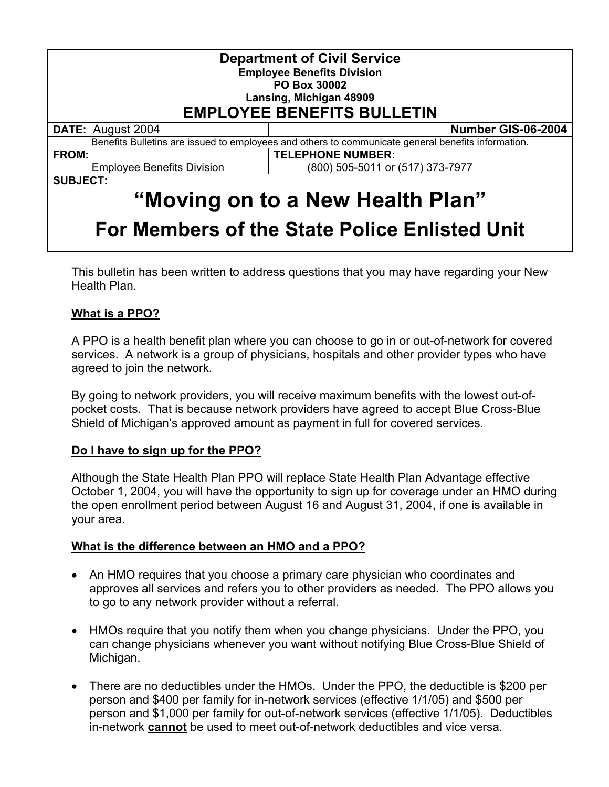| <b>Department of Civil Service</b><br><b>Employee Benefits Division</b><br><b>PO Box 30002</b><br>Lansing, Michigan 48909<br><b>EMPLOYEE BENEFITS BULLETIN</b> |                                  |
|----------------------------------------------------------------------------------------------------------------------------------------------------------------|----------------------------------|
| <b>DATE: August 2004</b>                                                                                                                                       | Number GIS-06-2004               |
| Benefits Bulletins are issued to employees and others to communicate general benefits information.                                                             |                                  |
| <b>FROM:</b>                                                                                                                                                   | <b>TELEPHONE NUMBER:</b>         |
| <b>Employee Benefits Division</b>                                                                                                                              | (800) 505-5011 or (517) 373-7977 |
| <b>SUBJECT:</b>                                                                                                                                                |                                  |
| "Moving on to a New Health Plan"                                                                                                                               |                                  |
| For Members of the State Police Enlisted Unit                                                                                                                  |                                  |

# This bulletin has been written to address questions that you may have regarding your New Health Plan.

## **What is a PPO?**

A PPO is a health benefit plan where you can choose to go in or out-of-network for covered services. A network is a group of physicians, hospitals and other provider types who have agreed to join the network.

By going to network providers, you will receive maximum benefits with the lowest out-ofpocket costs. That is because network providers have agreed to accept Blue Cross-Blue Shield of Michigan's approved amount as payment in full for covered services.

#### **Do I have to sign up for the PPO?**

Although the State Health Plan PPO will replace State Health Plan Advantage effective October 1, 2004, you will have the opportunity to sign up for coverage under an HMO during the open enrollment period between August 16 and August 31, 2004, if one is available in your area.

#### **What is the difference between an HMO and a PPO?**

- An HMO requires that you choose a primary care physician who coordinates and approves all services and refers you to other providers as needed. The PPO allows you to go to any network provider without a referral.
- HMOs require that you notify them when you change physicians. Under the PPO, you can change physicians whenever you want without notifying Blue Cross-Blue Shield of Michigan.
- There are no deductibles under the HMOs. Under the PPO, the deductible is \$200 per person and \$400 per family for in-network services (effective 1/1/05) and \$500 per person and \$1,000 per family for out-of-network services (effective 1/1/05). Deductibles in-network **cannot** be used to meet out-of-network deductibles and vice versa.